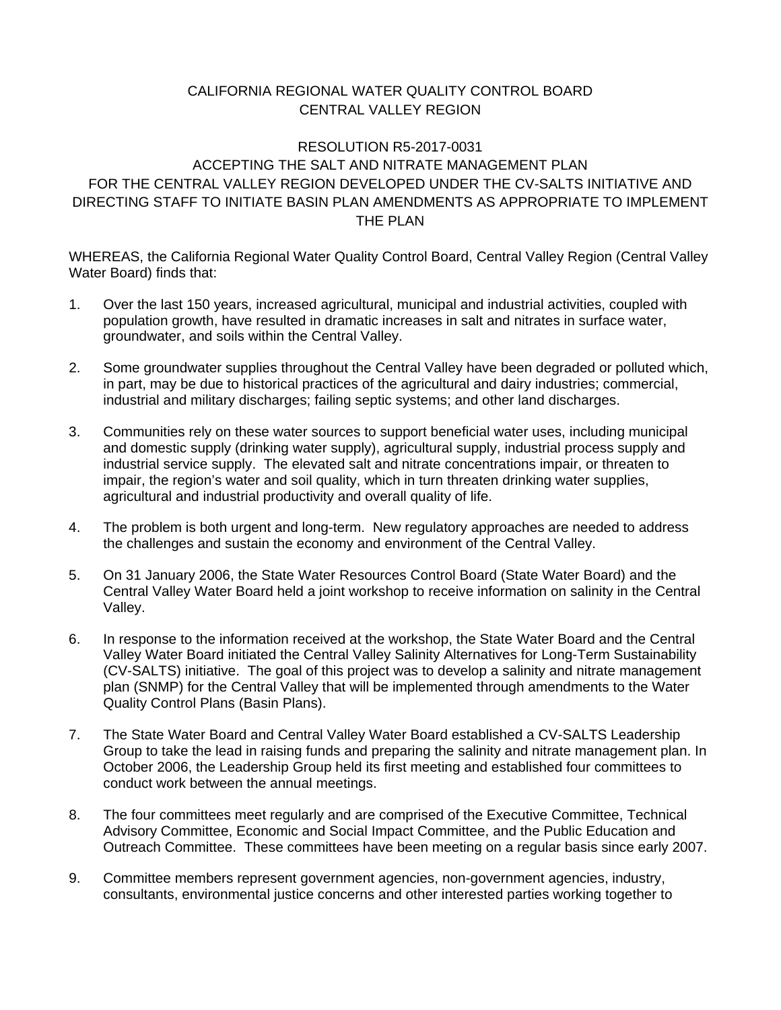## CALIFORNIA REGIONAL WATER QUALITY CONTROL BOARD CENTRAL VALLEY REGION

## THE PLAN RESOLUTION R5-2017-0031 ACCEPTING THE SALT AND NITRATE MANAGEMENT PLAN FOR THE CENTRAL VALLEY REGION DEVELOPED UNDER THE CV-SALTS INITIATIVE AND DIRECTING STAFF TO INITIATE BASIN PLAN AMENDMENTS AS APPROPRIATE TO IMPLEMENT

WHEREAS, the California Regional Water Quality Control Board, Central Valley Region (Central Valley Water Board) finds that:

- 1. Over the last 150 years, increased agricultural, municipal and industrial activities, coupled with population growth, have resulted in dramatic increases in salt and nitrates in surface water, groundwater, and soils within the Central Valley.
- in part, may be due to historical practices of the agricultural and dairy industries; commercial, 2. Some groundwater supplies throughout the Central Valley have been degraded or polluted which, industrial and military discharges; failing septic systems; and other land discharges.
- 3. Communities rely on these water sources to support beneficial water uses, including municipal and domestic supply (drinking water supply), agricultural supply, industrial process supply and industrial service supply. The elevated salt and nitrate concentrations impair, or threaten to impair, the region's water and soil quality, which in turn threaten drinking water supplies, agricultural and industrial productivity and overall quality of life.
- 4. The problem is both urgent and long-term. New regulatory approaches are needed to address the challenges and sustain the economy and environment of the Central Valley.
- 5. On 31 January 2006, the State Water Resources Control Board (State Water Board) and the Central Valley Water Board held a joint workshop to receive information on salinity in the Central Valley.
- 6. In response to the information received at the workshop, the State Water Board and the Central Valley Water Board initiated the Central Valley Salinity Alternatives for Long-Term Sustainability (CV-SALTS) initiative. The goal of this project was to develop a salinity and nitrate management plan (SNMP) for the Central Valley that will be implemented through amendments to the Water Quality Control Plans (Basin Plans).
- conduct work between the annual meetings. 7. The State Water Board and Central Valley Water Board established a CV-SALTS Leadership Group to take the lead in raising funds and preparing the salinity and nitrate management plan. In October 2006, the Leadership Group held its first meeting and established four committees to
- 8. The four committees meet regularly and are comprised of the Executive Committee, Technical Advisory Committee, Economic and Social Impact Committee, and the Public Education and Outreach Committee. These committees have been meeting on a regular basis since early 2007.
- 9. Committee members represent government agencies, non-government agencies, industry, consultants, environmental justice concerns and other interested parties working together to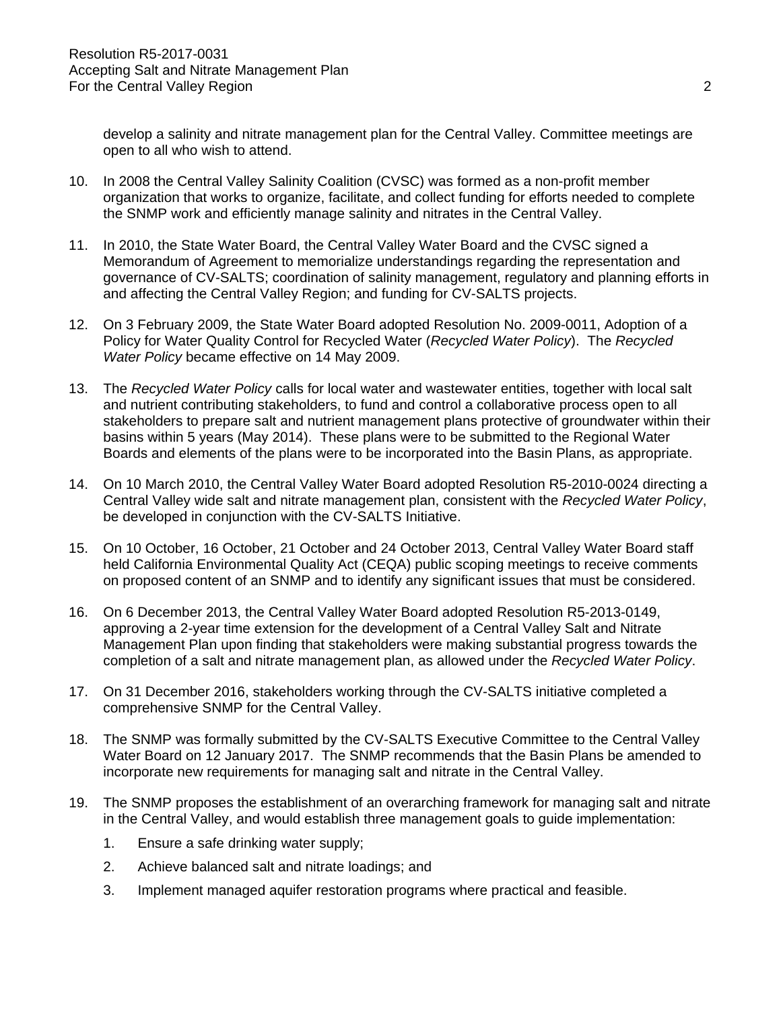develop a salinity and nitrate management plan for the Central Valley. Committee meetings are open to all who wish to attend.

- 10. In 2008 the Central Valley Salinity Coalition (CVSC) was formed as a non-profit member organization that works to organize, facilitate, and collect funding for efforts needed to complete the SNMP work and efficiently manage salinity and nitrates in the Central Valley.
- 11. In 2010, the State Water Board, the Central Valley Water Board and the CVSC signed a Memorandum of Agreement to memorialize understandings regarding the representation and governance of CV-SALTS; coordination of salinity management, regulatory and planning efforts in and affecting the Central Valley Region; and funding for CV-SALTS projects.
- 12. On 3 February 2009, the State Water Board adopted Resolution No. 2009-0011, Adoption of a Policy for Water Quality Control for Recycled Water (*Recycled Water Policy*). The *Recycled Water Policy* became effective on 14 May 2009.
- basins within 5 years (May 2014). These plans were to be submitted to the Regional Water 13. The *Recycled Water Policy* calls for local water and wastewater entities, together with local salt and nutrient contributing stakeholders, to fund and control a collaborative process open to all stakeholders to prepare salt and nutrient management plans protective of groundwater within their Boards and elements of the plans were to be incorporated into the Basin Plans, as appropriate.
- 14. On 10 March 2010, the Central Valley Water Board adopted Resolution R5-2010-0024 directing a Central Valley wide salt and nitrate management plan, consistent with the *Recycled Water Policy*, be developed in conjunction with the CV-SALTS Initiative.
- 15. On 10 October, 16 October, 21 October and 24 October 2013, Central Valley Water Board staff held California Environmental Quality Act (CEQA) public scoping meetings to receive comments on proposed content of an SNMP and to identify any significant issues that must be considered.
- 16. On 6 December 2013, the Central Valley Water Board adopted Resolution R5-2013-0149, approving a 2-year time extension for the development of a Central Valley Salt and Nitrate Management Plan upon finding that stakeholders were making substantial progress towards the completion of a salt and nitrate management plan, as allowed under the *Recycled Water Policy*.
- 17. On 31 December 2016, stakeholders working through the CV-SALTS initiative completed a comprehensive SNMP for the Central Valley.
- 18. The SNMP was formally submitted by the CV-SALTS Executive Committee to the Central Valley Water Board on 12 January 2017. The SNMP recommends that the Basin Plans be amended to incorporate new requirements for managing salt and nitrate in the Central Valley.
- 19. The SNMP proposes the establishment of an overarching framework for managing salt and nitrate in the Central Valley, and would establish three management goals to guide implementation:
	- 1. Ensure a safe drinking water supply;
	- 2. Achieve balanced salt and nitrate loadings; and
	- 3. Implement managed aquifer restoration programs where practical and feasible.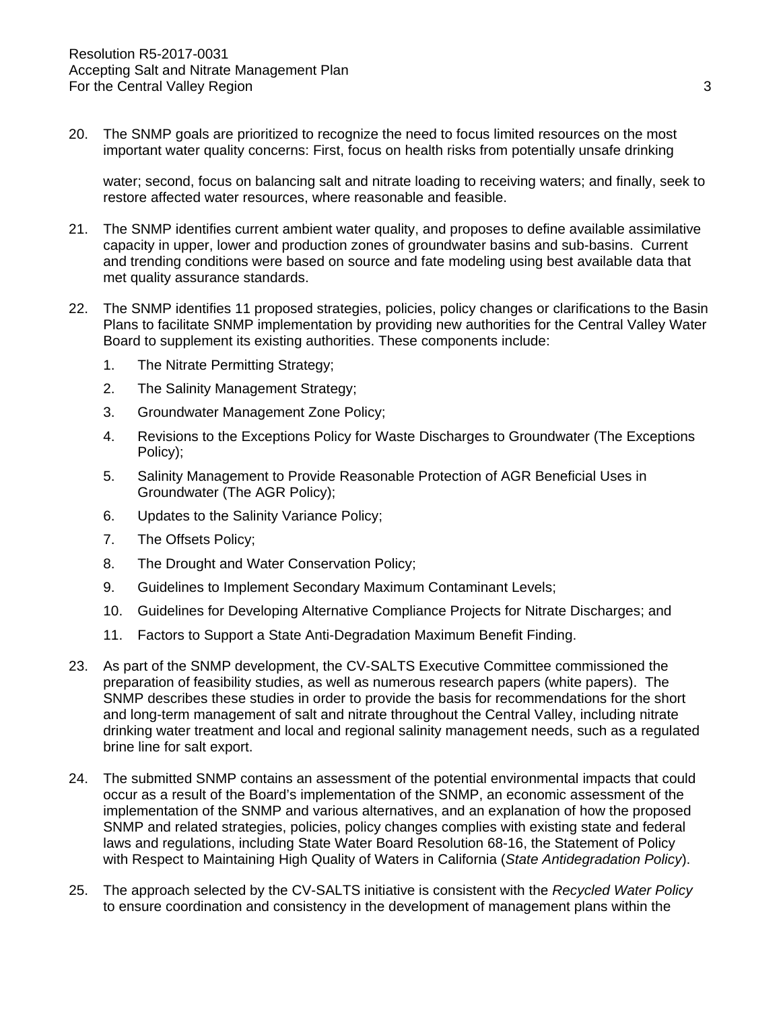$20.$ The SNMP goals are prioritized to recognize the need to focus limited resources on the most important water quality concerns: First, focus on health risks from potentially unsafe drinking

water; second, focus on balancing salt and nitrate loading to receiving waters; and finally, seek to restore affected water resources, where reasonable and feasible.

- capacity in upper, lower and production zones of groundwater basins and sub-basins. Current 21. The SNMP identifies current ambient water quality, and proposes to define available assimilative and trending conditions were based on source and fate modeling using best available data that met quality assurance standards.
- 22. The SNMP identifies 11 proposed strategies, policies, policy changes or clarifications to the Basin Plans to facilitate SNMP implementation by providing new authorities for the Central Valley Water Board to supplement its existing authorities. These components include:
	- 1. The Nitrate Permitting Strategy;
	- 2. The Salinity Management Strategy;
	- 3. Groundwater Management Zone Policy;
	- 4. Revisions to the Exceptions Policy for Waste Discharges to Groundwater (The Exceptions Policy);
	- 5. Salinity Management to Provide Reasonable Protection of AGR Beneficial Uses in Groundwater (The AGR Policy);
	- 6. Updates to the Salinity Variance Policy;
	- 7. The Offsets Policy;
	- 8. The Drought and Water Conservation Policy;
	- 9. Guidelines to Implement Secondary Maximum Contaminant Levels;
	- 10. Guidelines for Developing Alternative Compliance Projects for Nitrate Discharges; and
	- 11. Factors to Support a State Anti-Degradation Maximum Benefit Finding.
- 23. As part of the SNMP development, the CV-SALTS Executive Committee commissioned the preparation of feasibility studies, as well as numerous research papers (white papers). The SNMP describes these studies in order to provide the basis for recommendations for the short and long-term management of salt and nitrate throughout the Central Valley, including nitrate drinking water treatment and local and regional salinity management needs, such as a regulated brine line for salt export.
- 24. The submitted SNMP contains an assessment of the potential environmental impacts that could occur as a result of the Board's implementation of the SNMP, an economic assessment of the implementation of the SNMP and various alternatives, and an explanation of how the proposed SNMP and related strategies, policies, policy changes complies with existing state and federal laws and regulations, including State Water Board Resolution 68-16, the Statement of Policy with Respect to Maintaining High Quality of Waters in California (*State Antidegradation Policy*).
- 25. The approach selected by the CV-SALTS initiative is consistent with the *Recycled Water Policy*  to ensure coordination and consistency in the development of management plans within the